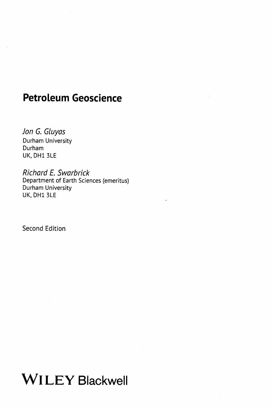## Petroleum Geoscience

Jon G. Gluyas Durham University Durham UK, DH1 3LE

Richard E. Swarbrick Department of Earth Sciences (emeritus) Durham University UK, DH1 3LE

Second Edition

Wl LEY Blackwell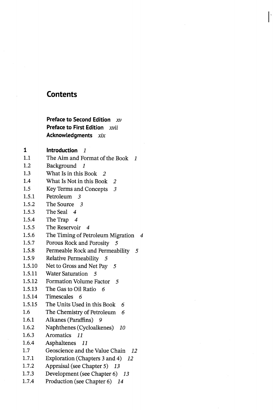## Contents

## Preface to Second Edition  $xv$ Preface to First Edition xvii Acknowledgments xix

1 Introduction 1

- 1.1 The Aim and Format of the Book 1
- 1.2 Background <sup>1</sup>
- 1.3 What Is in this Book 2
- 1.4 What Is Not in this Book 2
- 1.5 Key Terms and Concepts <sup>3</sup>
- 1.5.1 Petroleum 3
- 1.5.2 The Source 3
- 1.5.3 The Seal 4
- 1.5.4 The Trap 4
- 1.5.5 The Reservoir 4
- 1.5.6 The Timing of Petroleum Migration 4
- 1.5.7 Porous Rock and Porosity 5
- 1.5.8 Permeable Rock and Permeability <sup>5</sup>
- 1.5.9 Relative Permeability 5
- 1.5.10 Net to Gross and Net Pay 5
- 1.5.11 Water Saturation 5
- 1.5.12 Formation Volume Factor 5
- 1.5.13 The Gas to Oil Ratio 6
- 1.5.14 Timescales 6
- 1.5.15 The Units Used in this Book 6
- 1.6 The Chemistry of Petroleum 6
- 1.6.1 Alkanes (Paraffins) 9
- 1.6.2 Naphthenes (Cycloalkenes) 10
- 1.6.3 Aromatics 11
- 1.6.4 Asphaltenes il
- 1.7 Geoscience and the Value Chain 12
- 1.7.1 Exploration (Chapters <sup>3</sup> and 4) <sup>12</sup>
- 1.7.2 Appraisal (see Chapter 5) 13
- 1.7.3 Development (see Chapter 6) 13
- 1.7.4 Production (see Chapter 6) 14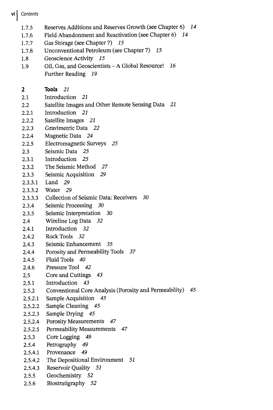$\mathsf{vi}$  Contents

- 1.7.5 Reserves Additions and Reserves Growth (see Chapter 6) 14
- 1.7.6 Field Abandonment and Reactivation (see Chapter 6) 14

1.7.7 Gas Storage (see Chapter 7) 15

- 1.7.8 Unconventional Petroleum (see Chapter 7) 15
- 1.8 Geoscience Activity 15
- 1.9 Oil, Gas, and Geoscientists A Global Resource!  $16$ Further Reading 19

2 Tools 21

- 2.1 Introduction 21
- 2.2 Satellite Images and Other Remote Sensing Data <sup>21</sup>
- 2.2.1 Introduction 21
- 2.2.2 Satellite Images 21
- 2.2.3 Gravimetric Data 22
- 2.2.4 Magnetic Data 24
- 2.2.5 Electromagnetic Surveys 25
- 2.3 Seismic Data 25
- 2.3.1 Introduction 25
- 2.3.2 The Seismic Method 27
- 2.3.3 Seismic Acquisition 29
- 2.3.3.1 Land 29
- 2.3.3.2 Water 29
- 2.3.3.3 Collection of Seismic Data: Receivers 30
- 2.3.4 Seismic Processing 30
- 2.3.5 Seismic Interpretation 30
- 2.4 Wireline Log Data 32
- 2.4.1 Introduction 32
- 2.4.2 Rock Tools 32
- 2A3 Seismic Enhancement <sup>35</sup>
- 2.4.4 Porosity and Permeability Tools 37
- 2.4.5 Fluid Tools 40
- 2.4.6 Pressure Tool 42
- 2.5 Core and Cuttings <sup>43</sup>
- 2.5.1 Introduction 43
- 2.5.2 Conventional Core Analysis (Porosity and Permeability) 45
- 2.5.2.1 Sample Acquisition 45
- 2.5.2.2 Sample Cleaning 45
- 2.5.2.3 Sample Drying 45
- 2.5.2.4 Porosity Measurements 47
- 2.5.2.5 Permeability Measurements 47
- 2.5.3 Core Logging 49
- 2.5.4 Petrography 49
- 2.5.4.1 Provenance 49
- 2.5.4.2 The Depositional Environment <sup>51</sup>
- 2.5.4.3 Reservoir Quality 5i
- 2.5.5 Geochemistry 52
- 2.5.6 Biostratigraphy 52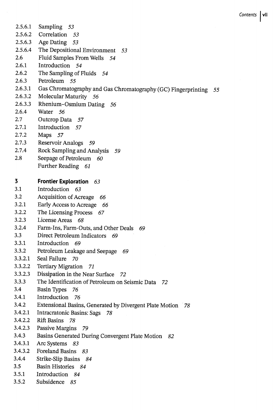- 2.5.6.1 Sampling 53 2.5.6.2 Correlation 53 2.5.6.3 Age Dating 53 2.5.6.4 The Depositional Environment 53 2.6 Fluid Samples From Wells 54 2.6.1 Introduction 54 2.6.2 The Sampling of Fluids 54 2.6.3 Petroleum 55 2.6.3.1 Gas Chromatography and Gas Chromatography (GC) Fingerprinting 2.6.3.2 Molecular Maturity 56 2.6.3.3 Rhenium-Osmium Dating 56 2.6.4 Water 56 2.7 Outcrop Data 57 2.7.1 Introduction 57 2.7.2 Maps 57 2.7.3 Reservoir Analogs 59 2.7.4 Rock Sampling and Analysis 59 2.8 Seepage of Petroleum 60 Further Reading 61 3 Frontier Exploration 63 3.1 Introduction 63 3.2 Acquisition of Acreage 66 3.2.1 Early Access to Acreage 66 3.2.2 The Licensing Process 67 3.2.3 License Areas 68 3.2.4 Farm-Ins, Farm-Outs, and Other Deals 69 3.3 Direct Petroleum Indicators 69 3.3.1 Introduction 69 3.3.2 Petroleum Leakage and Seepage 69 3.3.2.1 Seal Failure 70 3.3.2.2 Tertiary Migration 71 3.3.2.3 Dissipation in the Near Surface 72 3.3.3 The Identification of Petroleum on Seismic Data 72 3.4 Basin Types 76 3.4.1 Introduction 76 3.4.2 Extensional Basins, Generated by Divergent Plate Motion 3.4.2.1 Intracratonic Basins: Sags 78 3.4.2.2 Rift Basins 78 3.4.2.3 Passive Margins 79 3.4.3 Basins Generated During Convergent Plate Motion 82 3.4.3.1 Arc Systems 83 3.4.3.2 Foreland Basins 83 3.4.4 Strike-Slip Basins 84 3.5 Basin Histories 84 3.5.1 Introduction 84
- 3.5.2 Subsidence 85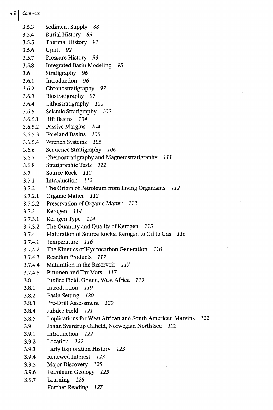3.5.3 Sediment Supply 88 3.5.4 Burial History 89 3.5.5 Thermal History 91 3.5.6 Uplift 92 3.5.7 Pressure History 93 3.5.8 Integrated Basin Modeling 95 3.6 Stratigraphy 96 3.6.1 Introduction 96 3.6.2 Chronostratigraphy 97 3.6.3 Biostratigraphy 97 3.6.4 Lithostratigraphy 100 3.6.5 Seismic Stratigraphy 102 3.6.5.1 Rift Basins 104 3.6.5.2 Passive Margins 104 3.6.5.3 Foreland Basins 105 3.6.5.4 Wrench Systems 105 3.6.6 Sequence Stratigraphy 106 3.6.7 Chemostratigraphy and Magnetostratigraphy <sup>111</sup> 3.6.8 Stratigraphic Tests 111 3.7 Source Rock 112 3.7.1 Introduction 112 3.7.2 The Origin of Petroleum from Living Organisms <sup>112</sup> 3.7.2.1 Organic Matter 112 3.7.2.2 Preservation of Organic Matter 112 3.7.3 Kerogen 114 3.7.3.1 Kerogen Type 114 3.7.3.2 The Quantity and Quality of Kerogen 115 3.7 A Maturation of Source Rocks: Kerogen to Oil to Gas 116 3.7.4.1 Temperature 116 3.7.4.2 The Kinetics of Hydrocarbon Generation 116 3.7.4.3 Reaction Products 117 3.7.4.4 Maturation in the Reservoir 117 3.7.4.5 Bitumen and Tar Mats 117 3.8 Jubilee Field, Ghana, West Africa 119 3.8.1 Introduction 119 3.8.2 Basin Setting 120 3.8.3 Pre-Drill Assessment 120 3.8.4 Jubilee Field 121 3.8.5 Implications for West African and South American Margins 122 3.9 Johan Sverdrup Oilfield, Norwegian North Sea 122 3.9.1 Introduction 122 3.9.2 Location 122 3.9.3 Early Exploration History 123 3.9.4 Renewed Interest 123 3.9.5 Major Discovery 125 3.9.6 Petroleum Geology 125 3.9.7 Learning 126 Further Reading 127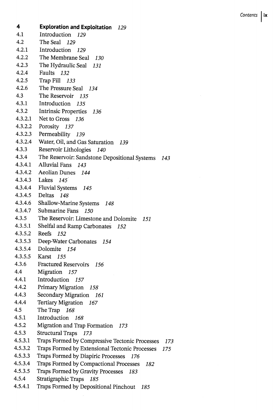4 Exploration and Exploitation 129 4.1 Introduction 129 4.2 The Seal 129 4.2.1 Introduction 129 4.2.2 The Membrane Seal 130 4.2.3 The Hydraulic Seal <sup>131</sup> 4.2.4 Faults 132 4.2.5 Trap Fill 133 4.2.6 The Pressure Seal 134 4.3 The Reservoir 135 4.3.1 Introduction 135 4.3.2 Intrinsic Properties 136 4.3.2.1 Net to Gross 136 4.3.2.2 Porosity 137 4.3.2.3 Permeability 139 4.3.2.4 Water, Oil, and Gas Saturation 139 4.3.3 Reservoir Lithologies 140 4.3.4 The Reservoir: Sandstone Depositional Systems <sup>143</sup> 4.3.4.1 Alluvial Fans 143 4.3.4.2 Aeolian Dunes 144 4.3.4.3 Lakes 145 4.3.4.4 Fluvial Systems 145 4.3.4.5 Deltas 148 4.3.4.6 Shallow-Marine Systems 148 4.3.4.7 Submarine Fans 150 4.3.5 The Reservoir: Limestone and Dolomite 151 4.3.5.1 Shelfal and Ramp Carbonates 152 4.3.5.2 Reefs 152 4.3.5.3 Deep-Water Carbonates 154 4.3.5.4 Dolomite 154 4.3.5.5 Karst 155 4.3.6 Fractured Reservoirs 156 4.4 Migration 157 4.4.1 Introduction 157 4.4.2 Primary Migration 158 4.4.3 Secondary Migration 161 4.4.4 Tertiary Migration 167 4.5 The Trap 168 4.5.1 Introduction 168 4.5.2 Migration and Trap Formation 173 4.5.3 Structural Traps 173 4.5.3.1 Traps Formed by Compressive Tectonic Processes 173 4.5.3.2 Traps Formed by Extensional Tectonic Processes <sup>175</sup> 4.5.3.3 Traps Formed by Diapiric Processes 176 4.5.3.4 Traps Formed by Compactional Processes <sup>182</sup> 4.5.3.5 Traps Formed by Gravity Processes 183 4.5.4 Stratigraphic Traps 185 4.5.4.1 Traps Formed by Depositional Pinchout 185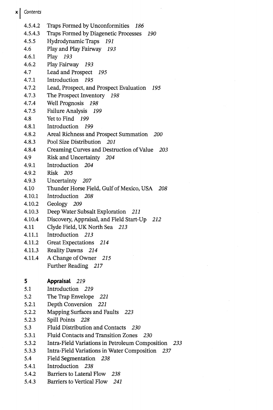- 4.5.4.2 Traps Formed by Unconformities 186
- 4.5.4.3 Traps Formed by Diagenetic Processes 190
- 4.5.5 Hydrodynamic Traps 191
- 4.6 Play and Play Fairway 193
- 4.6.1 Play 193
- 4.6.2 Play Fairway 193
- 4.7 Lead and Prospect 195
- 4.7.1 Introduction 195
- 4.7.2 Lead, Prospect, and Prospect Evaluation 195
- 4.7.3 The Prospect Inventory 198
- 4.7.4 Well Prognosis 198
- 4.7.5 Failure Analysis 199
- 4.8 Yet to Find 199
- 4.8.1 Introduction 199
- 4.8.2 Areal Richness and Prospect Summation 200
- 4.8.3 Pool Size Distribution 201
- 4.8.4 Creaming Curves and Destruction of Value 203
- 4.9 Risk and Uncertainty 204
- 4.9.1 Introduction 204
- 4.9.2 Risk 205
- 4.9.3 Uncertainty 207
- 4.10 Thunder Horse Field, Gulf of Mexico, USA 208
- 4.10.1 Introduction 208
- 4.10.2 Geology 209
- 4.10.3 Deep Water Subsalt Exploration 211
- 4.10.4 Discovery, Appraisal, and Field Start-Up 212
- 4.11 Clyde Field, UK North Sea <sup>213</sup>
- 4.11.1 Introduction 213
- 4.11.2 Great Expectations 214
- 4.11.3 Reality Dawns 214
- 4.11.4 A Change of Owner <sup>215</sup> Further Reading 217
- 5 Appraisal 219
- 5.1 Introduction 219
- 5.2 The Trap Envelope 221
- 5.2.1 Depth Conversion 221
- 5.2.2 Mapping Surfaces and Faults 223
- 5.2.3 Spill Points 228
- 5.3 Fluid Distribution and Contacts 230
- 5.3.1 Fluid Contacts and Transition Zones 230
- 5.3.2 Intra-Field Variations in Petroleum Composition 233
- 5.3.3 Intra-Field Variations in Water Composition 237
- 5.4 Field Segmentation 238
- 5.4.1 Introduction 238
- 5.4.2 Barriers to Lateral Flow 238
- 5.4.3 Barriers to Vertical Flow 241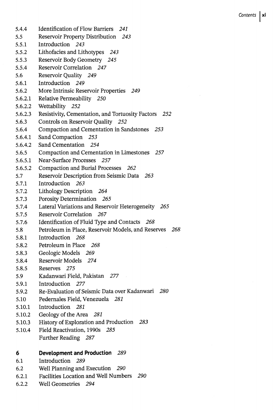- 5.4.4 Identification of Flow Barriers 241 5.5 Reservoir Property Distribution 243 5.5.1 Introduction 243 5.5.2 Lithofacies and Lithotypes 243 5.5.3 Reservoir Body Geometry 245 5.5.4 Reservoir Correlation 247 5.6 Reservoir Quality 249 5.6.1 Introduction 249 5.6.2 More Intrinsic Reservoir Properties 249 5.6.2.1 Relative Permeability 250 5.6.2.2 Wettability 252 5.6.2.3 Resistivity, Cementation, and Tortuosity Factors 252 5.6.3 Controls on Reservoir Quality 252 5.6.4 Compaction and Cementation in Sandstones 253 5.6.4.1 Sand Compaction 253 5.6.4.2 Sand Cementation 254 5.6.5 Compaction and Cementation in Limestones 257 5.6.5.1 Near-Surface Processes 257 5.6.5.2 Compaction and Burial Processes 262 5.7 Reservoir Description from Seismic Data 263 5.7.1 Introduction 263 5.7.2 Lithology Description 264 5.7.3 Porosity Determination 265 5.7A Lateral Variations and Reservoir Heterogeneity 265 5.7.5 Reservoir Correlation 267 5.7.6 Identification of Fluid Type and Contacts 268 5.8 Petroleum in Place, Reservoir Models, and Reserves 268 5.8.1 Introduction 268 5.8.2 Petroleum in Place 268 5.8.3 Geologic Models 269 5.8.4 Reservoir Models 274 5.8.5 Reserves 275 5.9 Kadanwari Field, Pakistan 277 5.9.1 Introduction 277 5.9.2 Re-Evaluation of Seismic Data over Kadanwari 280 5.10 Pedernales Field, Venezuela 281 5.10.1 Introduction 281 5.10.2 Geology of the Area 281 5.10.3 History of Exploration and Production 283 5.10.4 Field Reactivation, 1990s 285 Further Reading 287 <sup>6</sup> Development and Production 289 6.1 Introduction 289
- 6.2 Well Planning and Execution 290
- 6.2.1 Facilities Location and Well Numbers 290
- 6.2.2 Well Geometries 294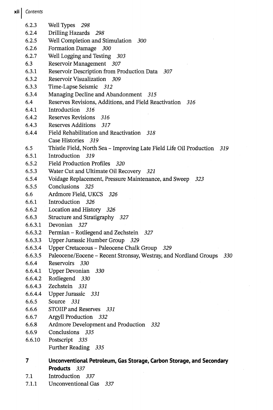xii Contents

6.2.3 Well Types 298 6.2.4 Drilling Hazards 298 6.2.5 Well Completion and Stimulation 300 6.2.6 Formation Damage 300 6.2.7 Well Logging and Testing 303 6.3 Reservoir Management 307 6.3.1 Reservoir Description from Production Data 307 6.3.2 Reservoir Visualization 309 6.3.3 Time-Lapse Seismic 312 6.3.4 Managing Decline and Abandonment 315 6.4 Reserves Revisions, Additions, and Field Reactivation 316 6.4.1 Introduction 316 6.4.2 Reserves Revisions 316 6.4.3 Reserves Additions 317 6.4.4 Field Rehabilitation and Reactivation 318 Case Histories 319 6.5 Thistle Field, North Sea - Improving Late Field Life Oil Production 319 6.5.1 Introduction 319 6.5.2 Field Production Profiles 320 6.5.3 Water Cut and Ultimate Oil Recovery 321 6.5.4 Voidage Replacement, Pressure Maintenance, and Sweep 323 6.5.5 Conclusions 325 6.6 Ardmore Field, UKCS 326 6.6.1 Introduction 326 6.6.2 Location and History 326 6.6.3 Structure and Stratigraphy 327 6.6.3.1 Devonian 327 6.6.3.2 Permian - Rotliegend and Zechstein 327 6.6.3.3 Upper Jurassic Humber Group 329 6.6.3.4 Upper Cretaceous - Paleocene Chalk Group 329 6.6.3.5 Paleocene/Eocene - Recent Stronsay, Westray, and Nordland Groups 330 6.6.4 Reservoirs 330 6.6.4.1 Upper Devonian 330 6.6.4.2 Rotliegend 330 6.6.4.3 Zechstein 331 6.6.4.4 Upper Jurassic 331 6.6.5 Source 331 6.6.6 STOIIP and Reserves 331 6.6.7 Argyll Production 332 6.6.8 Ardmore Development and Production 332 6.6.9 Conclusions 335 6.6.10 Postscript 335 Further Reading 335 <sup>7</sup> Unconventional Petroleum, Gas Storage, Carbon Storage, and Secondary Products 337

- 7.1 Introduction 337
- 7.1.1 Unconventional Gas 337